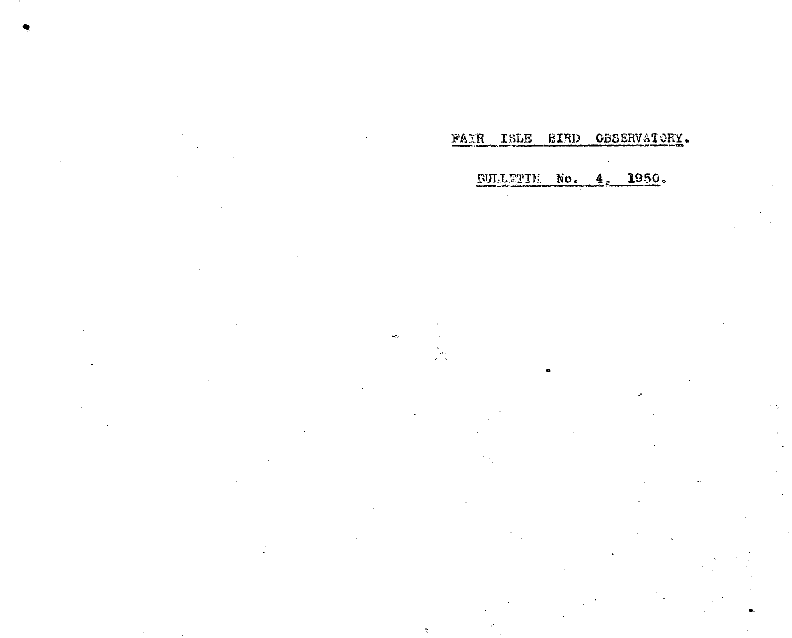# $\mathcal{L}^{\mathcal{L}}$

 $\gamma$ 

**BULLETTE No. 4, 1950.** 

FAIR ISLE EIRD CBSERVATORY.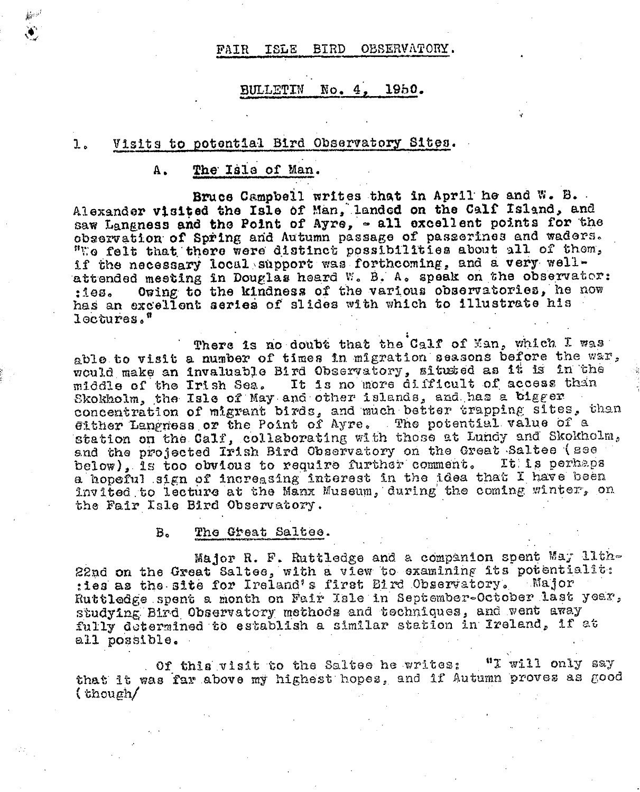#### FAIR ISLE BIRD OBSERVATORY.

#### **BULLETIN**  $\text{No. } 4$ . 1950.

#### Visits to potential Bird Observatory Sites. 1.

#### The Isla of Man. Α.

**Joy 19** 

Bruce Campbell writes that in April he and W. B. Alexander visited the Isle of Man, landed on the Calf Island, and saw Langness and the Point of Ayre, - all excellent points for the observation of Spring and Autumn passage of passerines and waders. "We felt that there were distinct possibilities about all of them, if the necessary local support was forthcoming, and a very wellattended meeting in Douglas heard W. B. A. speak on the observator: Owing to the kindness of the various observatories, he now  $:100.$ has an excellent series of slides with which to illustrate his lectures."

There is no doubt that the Calf of Man, which I was able to visit a number of times in migration seasons before the war, would make an invaluable Bird Observatory, sitused as it is in the middle of the Irish Sea. It is no more difficult of access than Skokholm, the Isle of May and other islands, and has a bigger concentration of migrant birds, and much better trapping sites, than Gither Langness or the Point of Ayre. The potential value of a station on the Calf, collaborating with those at Lundy and Skokholm, and the projected Irish Bird Observatory on the Great Saltee (see below), is too obvious to require further comment. **It is perhaps** a hopeful sign of increasing interest in the idea that I have been invited to lecture at the Manx Museum, during the coming winter, on the Fair Isle Bird Observatory.

> $B<sub>o</sub>$ The Great Saltee.

Major R. F. Ruttledge and a companion spent May lith-22nd on the Great Saltes, with a view to examining its potentialit: : les as the site for Ireland's first Bird Observatory. - Major Ruttledge spent a month on Fair Isle in September-October last year, studying Bird Observatory methods and techniques, and went away fully determined to establish a similar station in Ireland, if at all possible.

Of this visit to the Saltee he writes:  $"I$  will only say that it was far above my highest hopes, and if Autumn proves as good  $($  though/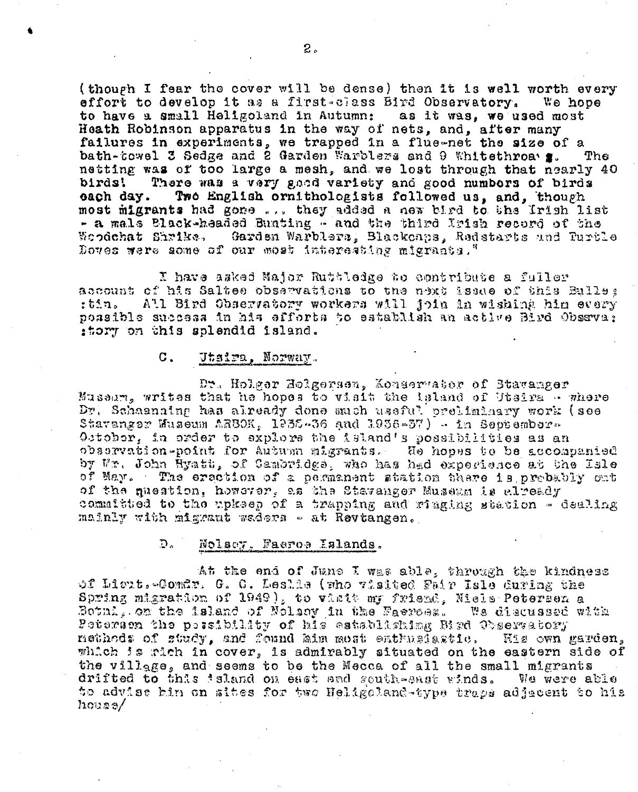(though I fear the cover will be dense) then it is well worth every effort to develop it as a first-class Bird Observatory. We hope to have a small Heligoland in Autumn: as it was, we used most Heath Robinson apparatus in the way of nets, and, after many failures in experiments, we trapped in a flue-net the size of a bath-towel 3 Sedge and 2 Garden Warblers and 9 Whitethroa g. The netting was of too large a mesh, and we lost through that nearly 40 There was a very good variety and good numbers of birds birds! Two English crnithologists followed us, and, though each day. most migrants had gone ... they added a new bird to the Irish list - a mals Black-headed Bunting - and the third Irish record of the Garden Warblers, Blackcaps, Redstarts und Turtle Woodchat Shrike. Doves were aome of our most interesting migrants."

I have asked Major Ruttledge to contribute a fuller account of his Saltes observations to the next issue of this Eulle: :tin. All Bird Observatory workers will join in wishing him every possible success in his efforts to establish an active Bird Obseva; :tory on this splendid island.

#### $\sigma$ . Utaira, Norway.

Dr. Holger Holgersen, Konservator of Stavanger Museum, writes that he hopes to visit the island of Utsira - where Dr. Schaanning has already done such useful preliminary work (see Stavanger Huseum ARBOK, 1935-36 and 1936-37) - in September-October, in order to explore the island's possibilities as an observation-point for Autum migrants. He hopes to be accompanied by Mr. John Hyatt, of Cambridge, who has had expecience at the Isle of May. The ersetion of a permanent station there is probably out of the question, however, as the Stavanger Museum is already committed to the upkeep of a trapping and ringing station - dealing mainly with migrant waders - at Revtangen.

#### D. Nolacy, Faeros Eslands.

At the end of June I was able, through the kindness of Licut. Comdr. G. C. Leslia (who visited Fair Isle Guring the Spring migration of 1949), to visit my friend, Niels Petersen a Bothi, on the island of Nolsoy in the Faerces. We discussed with Peterson the peasibility of his establishing Bird Observatory nethods of study, and found him most enthusiastic. His own garden, which is rich in cover, is admirably situated on the eastern side of the village, and seems to be the Mecca of all the small migrants drifted to this faland on east and south-east winds. We were able to advise hin on sites for two Heligoland-type traps adjacent to his  $h$ ova $\sigma/$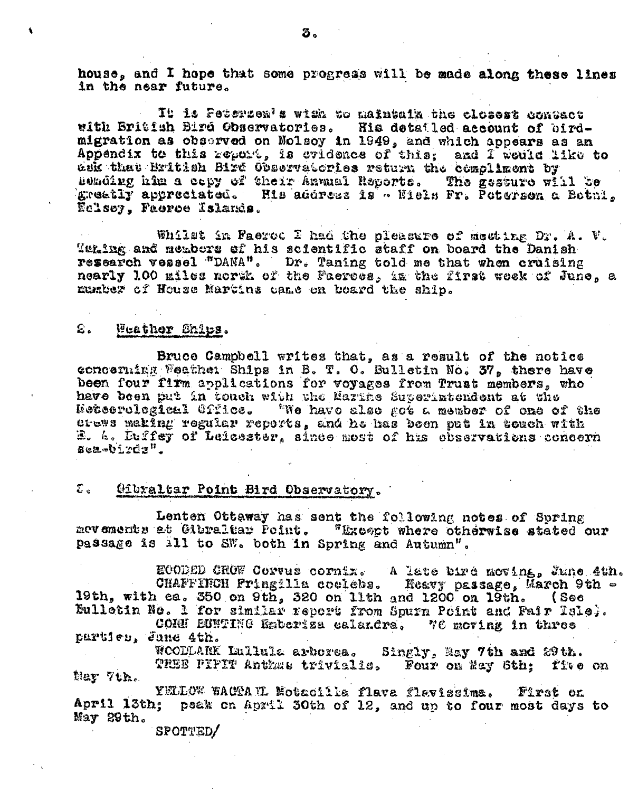house. and I hope that some progress will be made along these lines in the near future.

It is Petersen's with to maintain the closest contact with British Bird Observatories. His detailed account of birdmigration as observed on Nolsoy in 1949, and which appears as an Appendix to this report, is ovidence of this, and I would like to ank that British Bird Observatories return the compliment by Beading him a cepy of their Annual Reports. The gesture will be greatly appreciated. His address is - Niels Fr. Potersen a Botni, Eclsoy, Faeroe Islands.

Whilst in Paeroc I had the pleasure of mecting Dr. A. V. Tening and members of his scientific staff on board the Danish research vessel "DANA". Dr. Taning told me that when cruising nearly 100 miles north of the Faerecs, in the first week of June, a manter of House Martins came on board the ship.

#### $\varepsilon$  . Weather Ships.

 $\blacktriangle$ 

Bruce Campbell writes that, as a result of the notice concenting Weather Ships in B. T. O. Bulletin No. 37, there have been four firm applications for voyages from Trust members, who have been put in touch with the Marthe Superintendent at the Neteerological Office. "We have also got a member of one of the erews making regular reports, and he has been put in touch with E. A. Duffey of Leicester, since most of his chastvations concern sea-birds".

#### Gibraltar Point Bird Observatory.  $\mathfrak{D}_{\mathfrak{m}}$

Lenten Ottaway has sent the following notes of Spring mevements at Gibraltar Point. "Except where otherwise stated our passage is all to SW. both in Spring and Autumn".

ECODED CHOW Corvus cornix. A late bird moving, June 4th. CHAFFIRCH Fringilla coulets. Heavy passage, b 19th, with ea. 350 on 9th, 320 on 11th and 1200 on 19th. - Reavy passage, March 9th  $(Soo$ Eulletin No. 1 for similar report from Spurn Point and Fair Isle;. CORN EUNTING Emberiza calandra, We moving in three

particu, June 4th.

WOODDARK Lullula arborea. Singly, May 7th and 29th. TREE PIPIT Anthat trivialis. Four on May Sth; five on Ney 7th.

YELLOW WACTAIL Motacilla flava flavissima. First on April 13th; peak on April 30th of 12, and up to four most days to May 29th.

SPOTTED/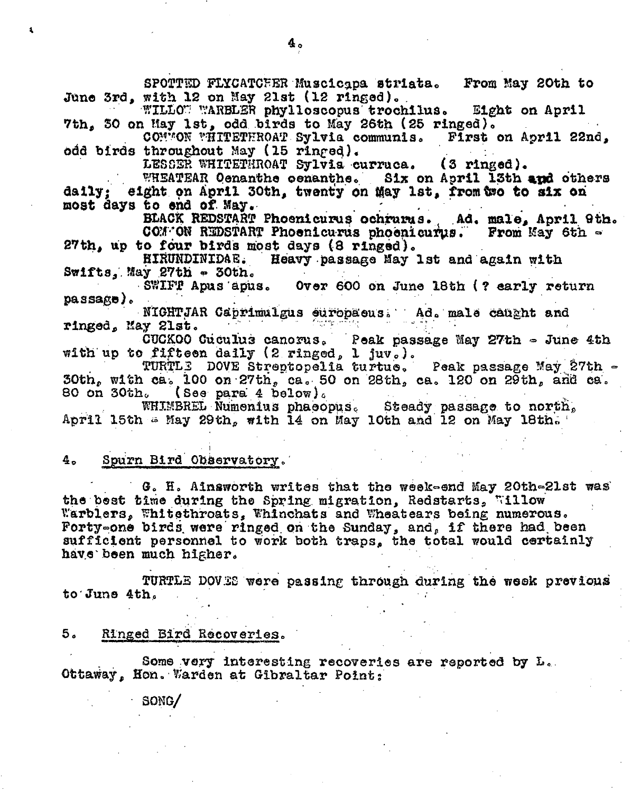SPOTTED FLYCATCEER Muscicapa striata. From May 20th to June 3rd, with 12 on May 21st (12 ringed). WILLOW WARBLER phylloscopus trochilus. Eight on April 7th, 30 on May 1st, odd birds to May 26th (25 ringed). CONNON WHITETHROAT Sylvia communis. First on April 22nd, odd birds throughout May (15 ringed). LESSER WHITETHROAT Sylvia curruca.  $(3 \text{ ringed}).$ WHEATEAR Oenanthe cenanthe. Six on April 13th and others eight on April 30th, twenty on May 1st, from two to six on  $d$ aily: most days to end of May. BLACK REDSTART Phoenicurus ochrums. Ad. male, April 9th. COM ON REDSTART Phoenicurus phoenicurus. From May 6th -27th, up to four birds most days (8 ringed). Heavy passage May 1st and again with **HIRUNDINIDAE.**  $S\texttt{wifts. May}$  27th  $\sim$  30th. SWIFT Apus apus. Over 600 on June 18th (? early return  $passes)$ . NIGHTJAR Caprimulgus europaeus. Ad. male caught and ringed, May 21st. CUCKOO Cuculus canorus. Peak passage May 27th - June 4th with up to fifteen daily (2 ringed, 1 juv.). TURTLE DOVE Streptopelia turtue. Peak passage May 27th - $30th$ , with ca. 100 on 27th, ca. 50 on 28th, ca. 120 on 29th, and ca. 80 on 30th. (See para 4 below). WHIMBREL Numerius phaeopus. Steady passage to north,<br>April 15th = May 29th, with 14 on May 10th and 12 on May 18th. Spurn Bird Observatory. 4. G. H. Ainsworth writes that the week-end May 20th-21st was the best time during the Spring migration, Redstarts, Willow Warblers, Whitethroats, Whinchats and Wheatears being numerous. Forty-one birds were ringed on the Sunday, and, if there had been sufficient personnel to work both traps, the total would certainly

have been much higher.

TURTLE DOVES were passing through during the week previous to June 4th.

5. Ringed Bird Recoveries.

Some very interesting recoveries are reported by L. Ottaway, Hon. Warden at Gibraltar Point;

SONG/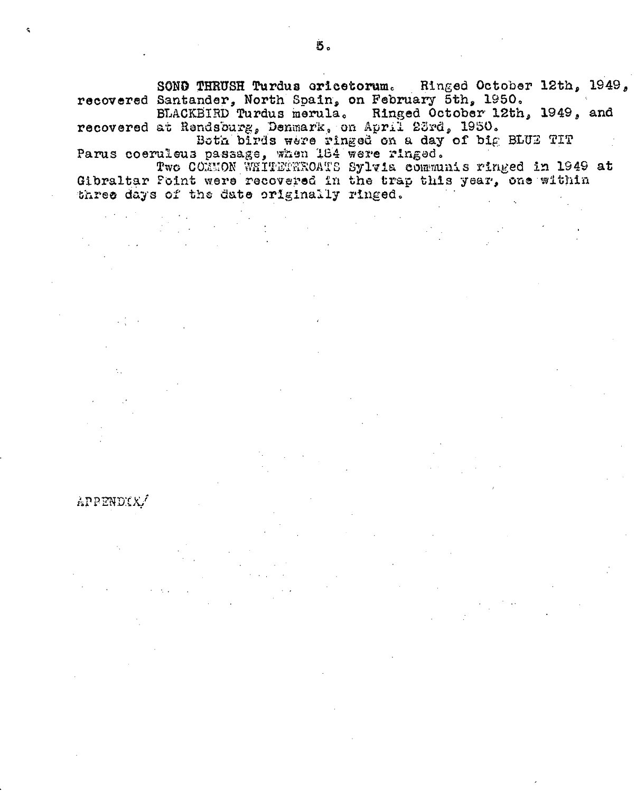SOND THRUSH Turdus ericetorum. Ringed October 12th, 1949, recovered Santander, North Spain, on February 5th, 1950.

BLACKBIRD Turdus merula. Ringed October 12th, 1949, and recovered at Rendsburg, Denmark, on April 23rd, 1950.

Both birds were ringed on a day of big BLUE TIT Parus coeruleus passage, when 184 were ringed.

APPENDIX

Two COMMON WHITETHROATS Sylvia communis ringed in 1949 at Gibraltar Foint were recovered in the trap this year, one within three days of the date originally ringed.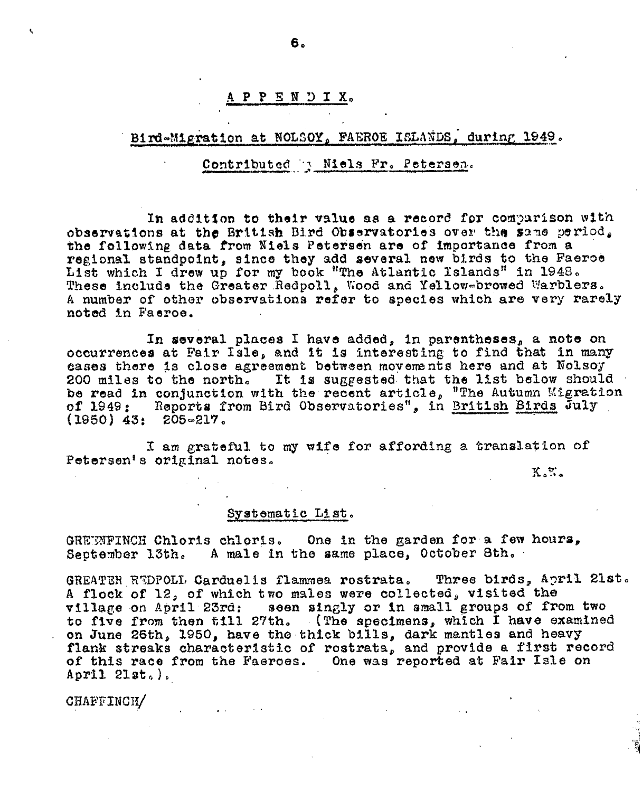## APPENDIX.

# Bird-Migration at NOLSOY, FAEROE ISLANDS, during 1949.

## Contributed R Miels Fr. Petersen.

In addition to their value as a record for comparison with observations at the British Bird Observatories over the same period. the following data from Niels Petersen are of importance from a regional standpoint, since they add several new birds to the Faeroe List which I drew up for my book "The Atlantic Islands" in 1948.<br>These include the Greater Redpoll, Wood and Yellow-browed Warblers. A number of other observations refer to species which are very rarely noted in Faeroe.

In several places I have added, in parentheses, a note on occurrences at Fair Isle, and it is interesting to find that in many cases there is close agreement between movements here and at Nolsoy 200 miles to the north. It is suggested that the list below should be read in conjunction with the recent article, "The Autumn Migration<br>of 1949: Reports from Bird Observatories", in British Birds July  $(1950)$  43: 205-217.

I am grateful to my wife for affording a translation of Petersen's original notes.

 $K_2$   $K_2$ 

### Systematic List.

GREEMFINCH Chloris chloris. One in the garden for a few hours, September 13th. A male in the same place, October 8th.

GREATER REDPOLL Carduelis flammea rostrata. Three birds, April 21st. A flock of 12, of which two males were collected, visited the village on April 23rd: seen singly or in small groups of from two to five from then till 27th. (The specimens, which I have examined<br>on June 26th, 1950, have the thick bills, dark mantles and heavy flank streaks characteristic of rostrata, and provide a first record of this race from the Faeroes. One was reported at Fair Isle on April  $2$ lat.).

CHAFFINCH/

6.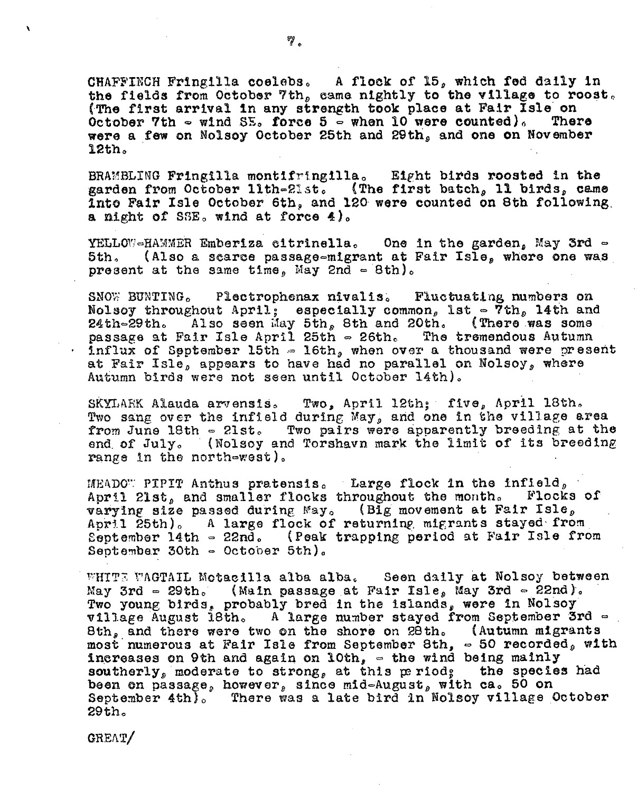CHAFFINCH Fringilla coelebs. A flock of 15, which fed daily in the fields from October 7th, came nightly to the village to roost. (The first arrival in any strength took place at Fair Isle on October 7th  $\sim$  wind SE. force 5  $\sim$  when 10 were counted). There were a few on Nolsoy October 25th and 29th, and one on November 12th.

BRAMBLING Fringilla montifringilla. Eight birds roosted in the garden from October 11th-21st. (The first batch, 11 birds, came Into Fair Isle October 6th, and 120 were counted on 8th following a night of SSE, wind at force 4).

YELLOW-HAMMER Emberiza citrinella. One in the garden, May 3rd -5th. (Also a scarce passage-migrant at Fair Isle, where one was present at the same time, May 2nd  $\approx$  8th).

Plectrophenax nivalis. Fluctuating numbers on SNOW BUNTING. Nolsoy throughout April; especially common, lst  $\in$  7th, 14th and Also seen May 5th, 8th and 20th. (There was some 24th-29th. passage at Fair Isle April 25th - 26th. The tremendous Autumn  $\cdot$  influx of Spptember 15th  $\approx$  16th, when over a thousand were present at Fair Isle, appears to have had no parallel on Nolsoy, where Autumn birds were not seen until October 14th).

SKYLARK Alauda arvensis. Two, April 12th; five, April 18th. Two sang over the infield during May, and one in the village area from June 18th - 21st. Two pairs were apparently breeding at the end of July. (Nolsoy and Torshavn mark the limit of its breeding range in the north-west).

MEADO" PIPIT Anthus pratensis. Large flock in the infield, April 21st, and smaller flocks throughout the month. Flocks of varying size passed during May. (Big movement at Fair Isle,<br>April 25th). A large flock of returning migrants stayed from September 14th - 22nd. (Peak trapping period at Fair Isle from September 30th  $\in$  October 5th).

WHITE WAGTAIL Motacilla alba alba. Seen daily at Nolsoy between May 3rd = 29th. (Main passage at Fair Isle, May 3rd = 22nd). Two young birds, probably bred in the islands, were in Nolsoy village August 18th. A large number stayed from September 3rd = 8th, and there were two on the shore on 20th. (Autumn migrants most numerous at Fair Isle from September 8th,  $\sim$  50 recorded, with increases on 9th and again on 10th,  $\sim$  the wind being mainly southerly, moderate to strong, at this period, the species had<br>been on passage, however, since mid-August, with ca. 50 on September 4th). There was a late bird in Nolsoy village October 29th.

GREAT/

 $\mathbf{v}$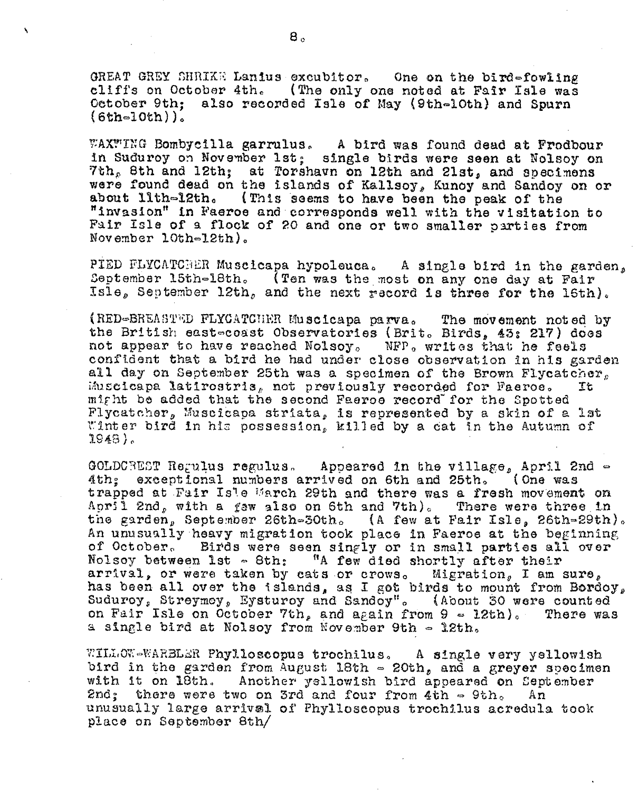GREAT GREY SHRIKE Lanius excubitor. One on the bird-fowling cliffs on October 4th. (The only one noted at Fair Isle was October 9th: also recorded Isle of May (9th-10th) and Spurn  $(6th=10th)$ .

WAXWING Bombycilla garrulus. A bird was found dead at Frodbour in Suduroy on November 1st; single birds were seen at Nolsoy on 7th, 8th and 12th; at Torshavn on 12th and 21st, and specimens were found dead on the islands of Kallsoy, Kunoy and Sandoy on or about lith-12th. (This seems to have been the peak of the "invasion" in Faeroe and corresponds well with the visitation to Fair Isle of a flock of 20 and one or two smaller parties from November  $10th-12th$ .

PIED FLYCATCHER Muscicapa hypoleuca. A single bird in the garden, September 15th-18th. (Ten was the most on any one day at Fair Isle, September 12th, and the next record is three for the 16th).

(RED-BREASTED FLYCATCHER Muscicapa parva. The movement noted by the British east-coast Observatories (Brit. Birds, 43: 217) does not appear to have reached Nolsoy. NFP. writes that he feels confident that a bird he had under close observation in his garden all day on September 25th was a specimen of the Brown Flycatcher, Muscicapa latirostris, not previously recorded for Faeroe. Τ'n might be added that the second Faeroe record for the Spotted Flycatcher, Muscicapa striata, is represented by a skin of a lat Winter bird in his possession, killed by a cat in the Autumn of  $1948.$ 

GOLDCREST Regulus regulus. Appeared in the village, April 2nd -4th: exceptional numbers arrived on 6th and 25th. (One was trapped at Fair Isle March 29th and there was a fresh movement on April 2nd, with a faw also on 6th and 7th). There were three in the garden, September 26th-30th. (A few at Fair Isle, 26th-29th). An unusually heavy migration took place in Faeroe at the beginning of October. Birds were seen singly or in small parties all over Nolsoy between 1st - 8th: "A few died shortly after their arrival, or were taken by cats or crows. Migration, I am sure, has been all over the islands, as I got birds to mount from Bordoy, Suduroy, Streymoy, Eysturoy and Sandoy". (About 30 were counted on Fair Isle on October 7th, and again from  $9 \approx 12th$ ). There was a single bird at Nolsoy from November 9th - 12th.

WILLOW-WARBLER Phylloscopus trochilus. A single very yellowish bird in the garden from August 18th  $\approx$  20th, and a greyer specimen with it on 18th. Another yellowish bird appeared on September 2nd; there were two on 3rd and four from 4th  $\approx$  9th. An unusually large arrival of Phylloscopus trochilus acredula took place on September 8th/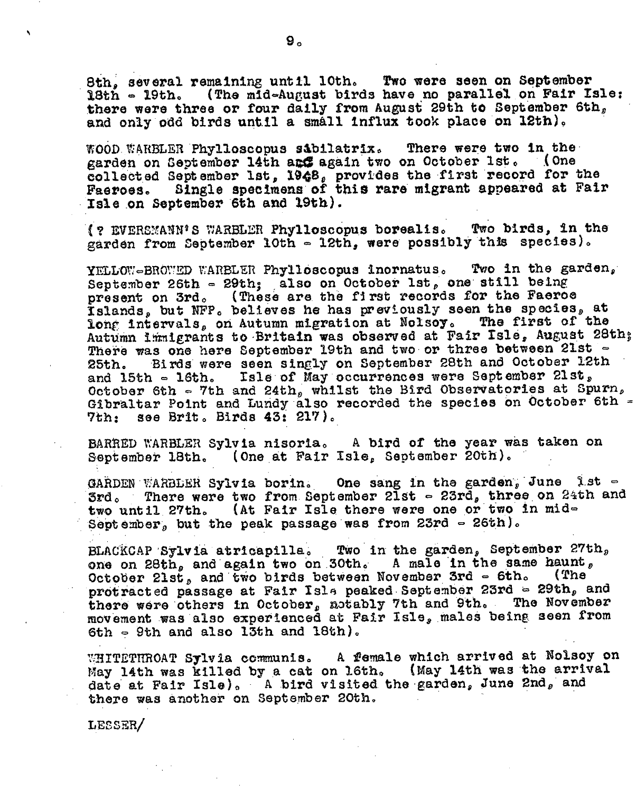8th, several remaining until 10th. Two were seen on September 18th - 19th. (The mid-August birds have no parallel on Fair Isle: there were three or four daily from August 29th to September 6th, and only odd birds until a small influx took place on 12th).

WOOD WARBLER Phylloscopus sabilatrix. There were two in the garden on September 14th are again two on October 1st. (One collected September 1st, 1948, provides the first record for the Faeroes. Single specimens of this rare migrant appeared at Fair Isle on September 6th and 19th).

(? EVERSMANN'S WARBLER Phylloscopus borealis. Two birds, in the garden from September 10th - 12th, were possibly this species).

Two in the garden. YELLOW-BROWED WARBLER Phylloscopus inornatus. September 26th - 29th; also on October 1st, one still being present on 3rd. (These are the first records for the Faeroe Islands, but NFP. believes he has previously seen the species, at long intervals, on Autumn migration at Nolsoy. The first of the Autumn immigrants to Britain was observed at Fair Isle, August 28th; There was one here September 19th and two or three between 21st -Birds were seen singly on September 28th and October 12th 25th. and 15th - 16th. Isle of May occurrences were September 21st, October 6th - 7th and 24th, whilst the Bird Observatories at Spurn, Gibraltar Point and Lundy also recorded the species on October 6th -7th: see Brit. Birds 43: 217).

BARRED WARBLER Sylvia nisoria. A bird of the year was taken on September 18th. (One at Fair Isle, September 20th).

GARDEN WARBLER Sylvia borin. One sang in the garden, June 1st -3rd. There were two from September 21st  $\sim$  23rd, three on 24th and two until 27th. (At Fair Isle there were one or two in mid-September, but the peak passage was from 23rd  $\sim$  26th).

BLACKCAP Sylvia atricapille. Two in the garden, September 27th, one on 28th, and again two on 30th. A male in the same haunt, October 21st, and two birds between November 3rd  $\sim$  6th. (The protracted passage at Fair Isla peaked September 23rd = 29th, and there were others in October, motably 7th and 9th. The November movement was also experienced at Fair Isle, males being seen from 6th  $\sim$  9th and also 13th and 18th).

WHITETHROAT Sylvia communis. A female which arrived at Nolsoy on May 14th was killed by a cat on 16th. (May 14th was the arrival date at Fair Isle). A bird visited the garden, June 2nd, and there was another on September 20th.

LESSER/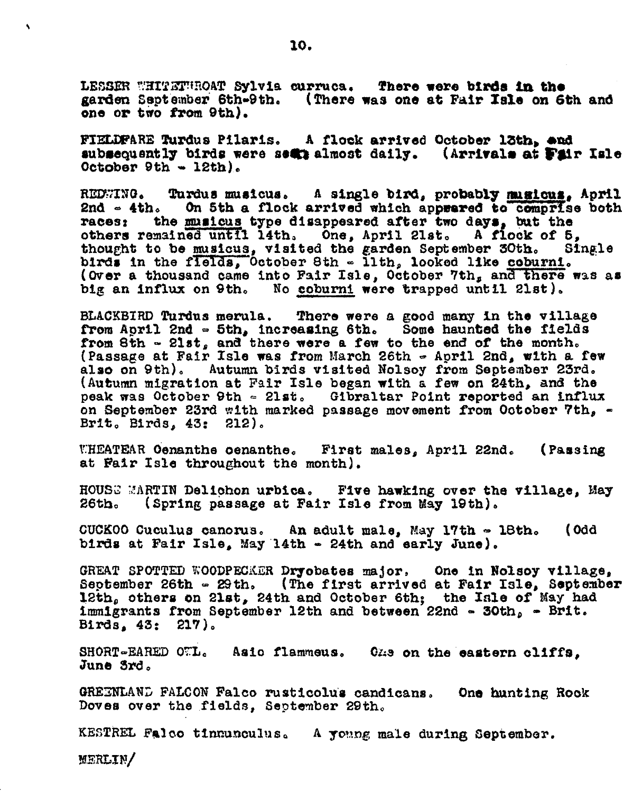LESSER WHITETWROAT Sylvia curruca. There were birds in the garden September 6th-9th. (There was one at Fair Isle on 6th and one or two from 9th).

FIELDFARE Turdus Pilaris. A flock arrived October 13th, and subsequently birds were sear almost daily. (Arrivals at Fair Isle October 9th - 12th).

REDWING. Turdus musicus. A single bird, probably musicus, April On 5th a flock arrived which appeared to comprise both 2nd  $\sim$  4th. races: the musicus type disappeared after two days, but the others remained until 14th, One, April 21st. A flock of 5, thought to be musicus, visited the garden September 30th. Shirds in the fields, October 8th - lith, looked like coburni. Single (Over a thousand came into Fair Isle, October 7th, and there was as big an influx on 9th. No coburni were trapped until 21st).

BLACKBIRD Turdus merula. There were a good many in the village from April 2nd - 5th, increasing 6th. Some haunted the fields from 8th - 21st, and there were a few to the end of the month. (Passage at Fair Isle was from March 26th - April 2nd, with a few also on 9th). Autumn birds visited Nolsoy from September 23rd. (Autumn migration at Fair Isle began with a few on 24th, and the peak was October 9th = 21st. Gibraltar Point reported an influx on September 23rd with marked passage movement from October 7th, -Brit. Birds. 43: 212).

WHEATEAR Oenanthe oenanthe. First males, April 22nd. (Passing) at Fair Isle throughout the month).

HOUSE MARTIN Delichon urbica. Five hawking over the village, May (Spring passage at Fair Isle from May 19th).  $26th.$ 

 $CUCKOO$  Cuculus canorus. An adult male, May 17th  $\sim$  18th. (Odd birds at Fair Isle, May 14th - 24th and early June).

GREAT SPOTTED WOODPECKER Dryobates major, One in Nolsoy village, September 26th - 29th. (The first arrived at Fair Isle, September 12th, others on 21st, 24th and October 6th; the Isle of May had immigrants from September 12th and between 22nd - 30th, - Brit. Birds, 43: 217).

SHORT-EARED OTL. Asic flammeus. One on the eastern cliffs, June 3rd.

GREENLAND FALCON Falco rusticolus candicans. One hunting Rook Doves over the fields, September 29th.

KESTREL Falco tinnunculus. A young male during September.

**MERLIN/**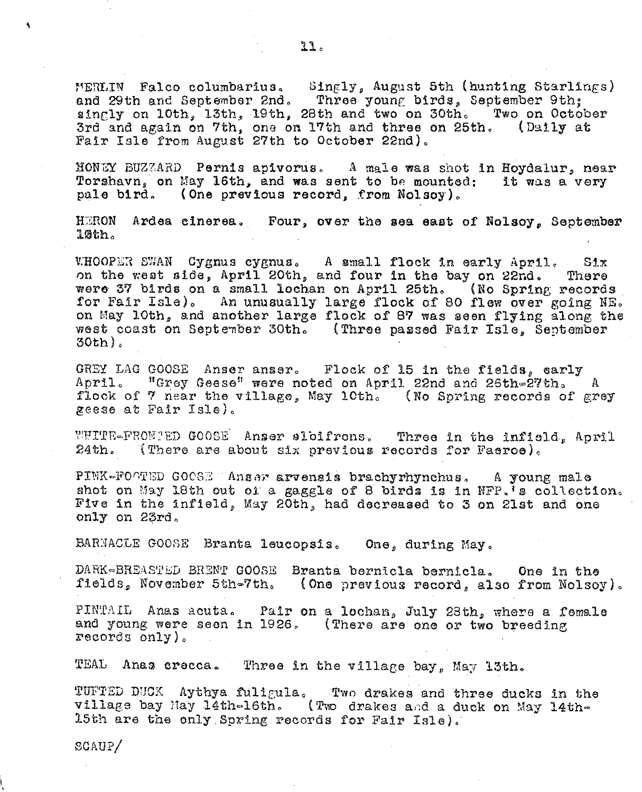MERLIN Falco columbarius. Singly, August 5th (hunting Starlings) and 29th and September 2nd. Three young birds, September 9th; singly on 10th, 13th, 19th, 28th and two on 30th. Two on October 3rd and again on 7th, one on 17th and three on 25th. (Daily at Fair Isle from August 27th to October 22nd).

NONUY BUZZARD Pernis apivorus. A male was shot in Hoydalur, near Torshavn, on May 16th, and was sent to be mounted: it was a very pale bird. (One previous record, from Nolsoy).

HERON Ardea cinerea. Four, over the sea east of Nolsoy, September 10th.

WHOOPER SWAN Cygnus cygnus. A small flock in early April.<br>on the west side, April 20th, and four in the bay on 22nd.  $S1x$ There were 37 birds on a small lochan on April 25th. (No Spring records for Fair Isle). An unusually large flock of 80 flew over going NE. on May 10th, and another large flock of 87 was seen flying along the west coast on September 30th. (Three passed Fair Isle, September  $30th$ .

GREY LAG GOOSE Anser anser. Flock of 15 in the fields, early April. "Grey Geese" were noted on April 22nd and 26th-27th. A flock of 7 near the village, May 10th. (No Spring records of grey zeese at Fair Isle).

WHITE-PRONTED GOOSE Anser sloifrons. Three in the infield, April 24th. (There are about six previous records for Faeroe).

PINK-FOOTED GOOSE Anser arvensis brachyrhynchus. A young male shot on May 18th out of a gaggle of 8 birds is in NFP. Is collection. Five in the infield, May 20th, had decreased to 3 on 21st and one only on 23rd.

BARNACLE GOOSE Branta leucopsis. One, during May.

DARK-BREASTED BRENT GOOSE Branta bernicla bernicla. One in the fields, November 5th-7th. (One previous record, also from Nolsoy).

PINTAIL Anas acuta. Pair on a lochan, July 23th, where a female and young were seen in 1926. (There are one or two breeding records only).

TEAL Anas crecca. Three in the village bay, May 13th.

TUFTED DUCK Aythya fuligula. Two drakes and three ducks in the village bay May 14th-16th. (Two drakes and a duck on May 14th-15th are the only Spring records for Fair Isle).

 $SCAUP/$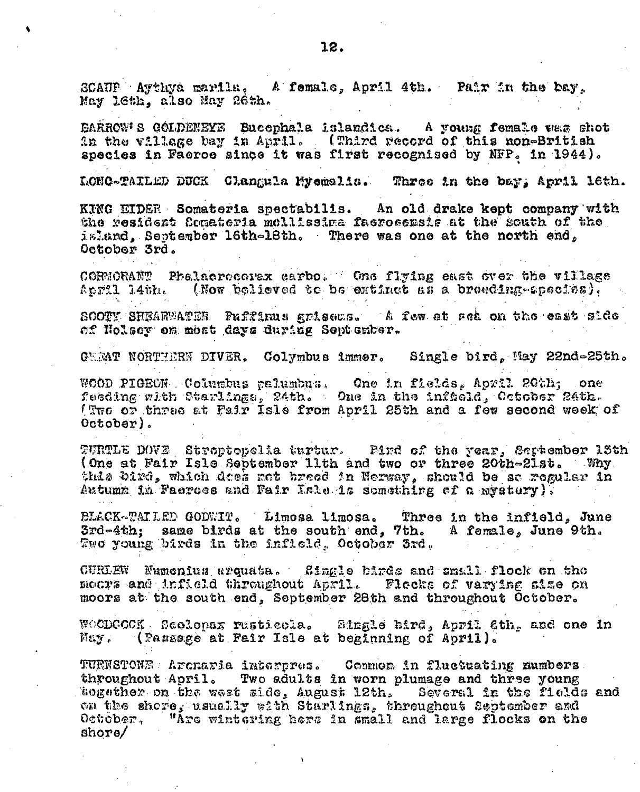SCAUP Aythya marila. A female, April 4th. Pair in the bay. May 16th, also May 26th.

DARROW'S GOLDENEYE Bucophala islandica. A young female was shot in the village bay in April. (Third record of this non-British species in Faeroe since it was first recognised by NFP. in 1944).

LONG-TAILED DUCK Clangula Myemalis. Three in the bay, April leth.

KING EIDER Somateria spectabilis. An old drake kept company with the resident fomateria mollissima faeroeemsis at the south of the island, September 16th-18th. There was one at the north end, October 3rd.

CORNORANT Phelaeroconex carbo. One flying east over the village (Now believed be be entinet as a breeding-apscies). April 14th.

SOOTY SHEARWATER Puffinus grisews. A few at rea on the east side of Nolsoy on most days during September.

GREAT NORTHERN DIVER. Colymbus immer. Single bird, May 22nd=25th.

WOOD PIGEON. Columbus palumbus. One in fields, April 20th; one feeding with Starlings, 24th. One in the infection cotober 24th. (Two or three at Fair Isle from April 25th and a few second week of  $0$ ctober).

TURTLE DOVE Streptopelia turtur. Pind of the year, September 13th (One at Fair Isle September 11th and two or three 20th-21st. Why this bird, which does not breed in Nerway, should be so regular in Autumn in Faeroes and Fair Isle is something of a mystery),

BLACK-TAILED GODWIT. Limosa limosa. Three in the infield, June 3rd-4th; same birds at the south end, 7th. A female, June 9th. Two young birds in the infield, October 3rd.

CURLEW Numenius arquata. Single birds and small flock on the moors and infield throughout April. Flecks of varying aime on moors at the south end, September 28th and throughout October.

WOODCOCK Reelopax rusticela. Single bird, April 6th, and one in May. (Passage at Pair Isle at beginning of April).

TURNSTOWE Arenaria interpres. Common in fluctuating numbers throughout April. Two adults in worn plumage and three young sogether on the west side, August 12th. Several in the fields and on the shore, usually with Starlings, throughout September and October, "Are wintering here in small and large flocks on the  $\frac{1}{2}$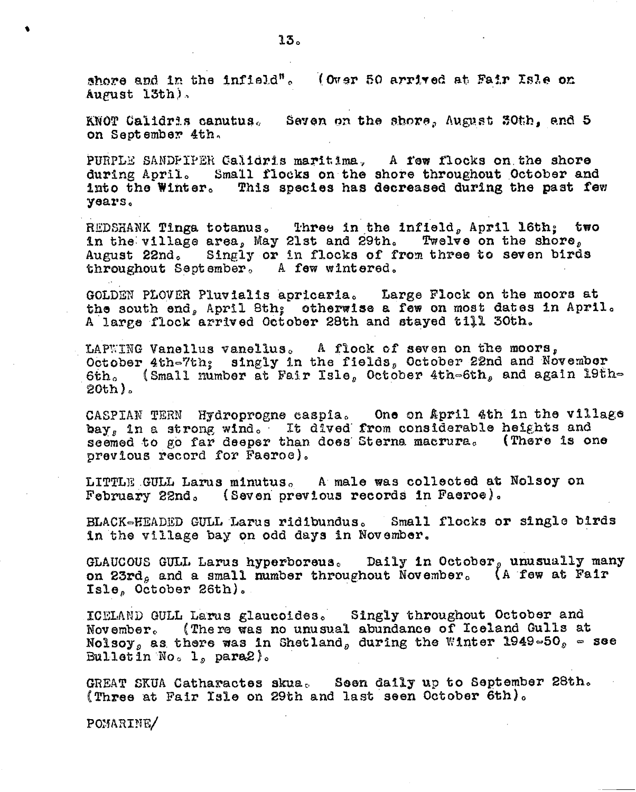shore and in the infield". (Over 50 arrived at Fair Isle on August 13th).

KNOT Calidris canutus. Seven on the shore, August 30th, and 5 on September 4th.

PURPLE SANDFIPER Galidris maritima. A fow flocks on the shore during April. Small flocks on the shore throughout October and into the Winter. This species has decreased during the past few years.

REDSHANK Tinga totanus. Three in the infield, April l6th; two in the village area, May 21st and 29th. Twelve on the shore, August 22nd. Singly or in flocks of from three to seven birds throughout September, A few wintered.

GOLDEN PLOVER Pluvialis apricaria. Large Flock on the moors at the south end, April Sth; otherwise a few on most dates in April. A large flock arrived October 28th and stayed till 30th.

LAPWING Vanellus vanellus. A flock of seven on the moors, October 4th-7th; singly in the fields, October 22nd and November 6th. (Small number at Fair Isle, October 4th-6th, and again 19th-20th)。

CASPIAN TERN Hydroprogne caspia. One on April 4th in the village bay, in a strong wind. It dived from considerable heights and seemed to go far deeper than does Sterna macrura. (There is one previous record for Faeroe).

LITTLE GULL Larus minutus. A male was collected at Nolsoy on February 22nd. (Seven previous records in Faeroe).

BLACK-HEADED GULL Larus ridibundus. Small flocks or single birds in the village bay on odd days in November.

GLAUCOUS GULL Larus hyperboreus. Daily in October, unusually many on 23rd, and a small number throughout November. (A few at Fair Isle, October 26th).

ICELAND GULL Larus glaucoides. Singly throughout October and November. (There was no unusual abundance of Iceland Gulls at Nolsoy, as there was in Shetland, during the Winter 1949-50, - see Bulletin No.  $1_p$  para $2$ ).

GREAT SKUA Catharactes skua. Seen daily up to September 28th. (Three at Fair Isle on 29th and last seen October 6th).

POMARINE/